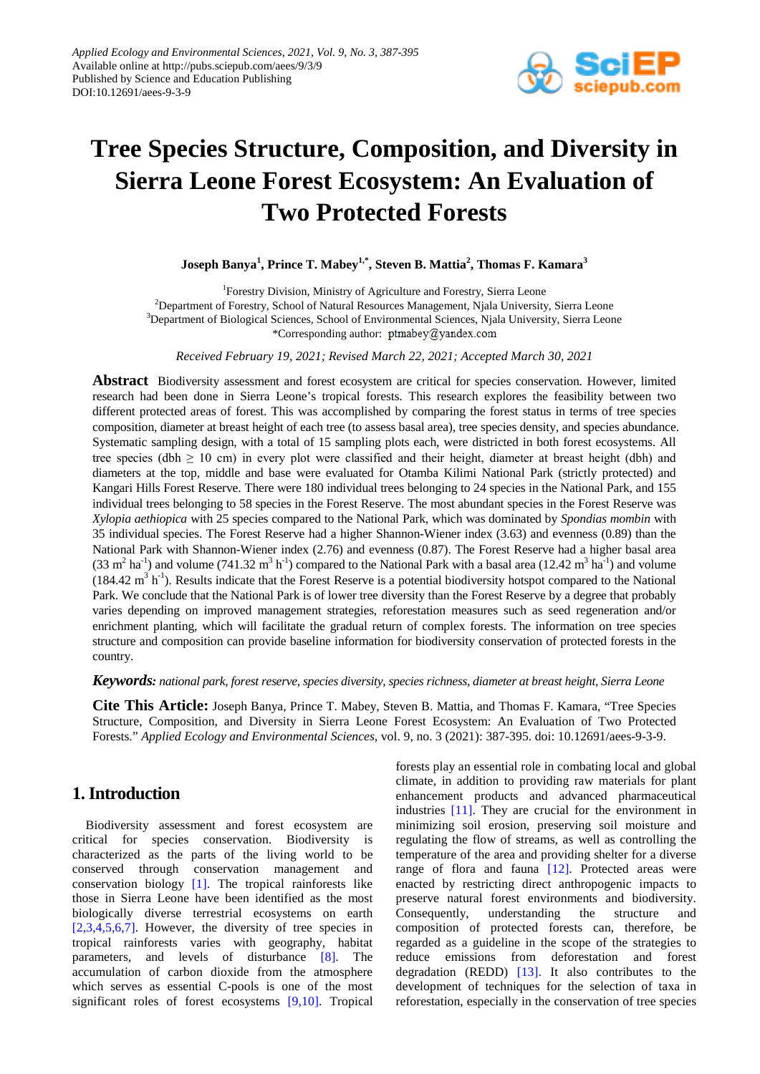

# **Tree Species Structure, Composition, and Diversity in Sierra Leone Forest Ecosystem: An Evaluation of Two Protected Forests**

**Joseph Banya<sup>1</sup> , Prince T. Mabey1,\* , Steven B. Mattia<sup>2</sup> , Thomas F. Kamara<sup>3</sup>**

<sup>1</sup>Forestry Division, Ministry of Agriculture and Forestry, Sierra Leone <sup>2</sup>Department of Forestry, School of Natural Resources Management, Njala University, Sierra Leone <sup>3</sup>Department of Biological Sciences, School of Environmental Sciences, Njala University, Sierra Leone \*Corresponding author: ptmabey@yandex.com

*Received February 19, 2021; Revised March 22, 2021; Accepted March 30, 2021*

**Abstract** Biodiversity assessment and forest ecosystem are critical for species conservation. However, limited research had been done in Sierra Leone's tropical forests. This research explores the feasibility between two different protected areas of forest. This was accomplished by comparing the forest status in terms of tree species composition, diameter at breast height of each tree (to assess basal area), tree species density, and species abundance. Systematic sampling design, with a total of 15 sampling plots each, were districted in both forest ecosystems. All tree species (dbh  $\geq 10$  cm) in every plot were classified and their height, diameter at breast height (dbh) and diameters at the top, middle and base were evaluated for Otamba Kilimi National Park (strictly protected) and Kangari Hills Forest Reserve. There were 180 individual trees belonging to 24 species in the National Park, and 155 individual trees belonging to 58 species in the Forest Reserve. The most abundant species in the Forest Reserve was *Xylopia aethiopica* with 25 species compared to the National Park, which was dominated by *Spondias mombin* with 35 individual species. The Forest Reserve had a higher Shannon-Wiener index (3.63) and evenness (0.89) than the National Park with Shannon-Wiener index (2.76) and evenness (0.87). The Forest Reserve had a higher basal area  $(33 \text{ m}^2 \text{ ha}^{-1})$  and volume  $(741.32 \text{ m}^3 \text{ h}^{-1})$  compared to the National Park with a basal area  $(12.42 \text{ m}^3 \text{ ha}^{-1})$  and volume  $(184.42 \text{ m}^3 \text{ h}^{-1})$ . Results indicate that the Forest Reserve is a potential biodiversity hotspot compared to the National Park. We conclude that the National Park is of lower tree diversity than the Forest Reserve by a degree that probably varies depending on improved management strategies, reforestation measures such as seed regeneration and/or enrichment planting, which will facilitate the gradual return of complex forests. The information on tree species structure and composition can provide baseline information for biodiversity conservation of protected forests in the country.

*Keywords: national park, forest reserve, species diversity, species richness, diameter at breast height, Sierra Leone*

**Cite This Article:** Joseph Banya, Prince T. Mabey, Steven B. Mattia, and Thomas F. Kamara, "Tree Species Structure, Composition, and Diversity in Sierra Leone Forest Ecosystem: An Evaluation of Two Protected Forests." *Applied Ecology and Environmental Sciences*, vol. 9, no. 3 (2021): 387-395. doi: 10.12691/aees-9-3-9.

# **1. Introduction**

Biodiversity assessment and forest ecosystem are critical for species conservation. Biodiversity is characterized as the parts of the living world to be conserved through conservation management and conservation biology [\[1\].](#page-5-0) The tropical rainforests like those in Sierra Leone have been identified as the most biologically diverse terrestrial ecosystems on earth  $[2,3,4,5,6,7]$ . However, the diversity of tree species in tropical rainforests varies with geography, habitat parameters, and levels of disturbance [\[8\].](#page-5-2) The accumulation of carbon dioxide from the atmosphere which serves as essential C-pools is one of the most significant roles of forest ecosystems [\[9,10\].](#page-5-3) Tropical forests play an essential role in combating local and global climate, in addition to providing raw materials for plant enhancement products and advanced pharmaceutical industries [\[11\].](#page-6-0) They are crucial for the environment in minimizing soil erosion, preserving soil moisture and regulating the flow of streams, as well as controlling the temperature of the area and providing shelter for a diverse range of flora and fauna [\[12\].](#page-6-1) Protected areas were enacted by restricting direct anthropogenic impacts to preserve natural forest environments and biodiversity. Consequently, understanding the structure and composition of protected forests can, therefore, be regarded as a guideline in the scope of the strategies to reduce emissions from deforestation and forest degradation (REDD)  $[13]$ . It also contributes to the development of techniques for the selection of taxa in reforestation, especially in the conservation of tree species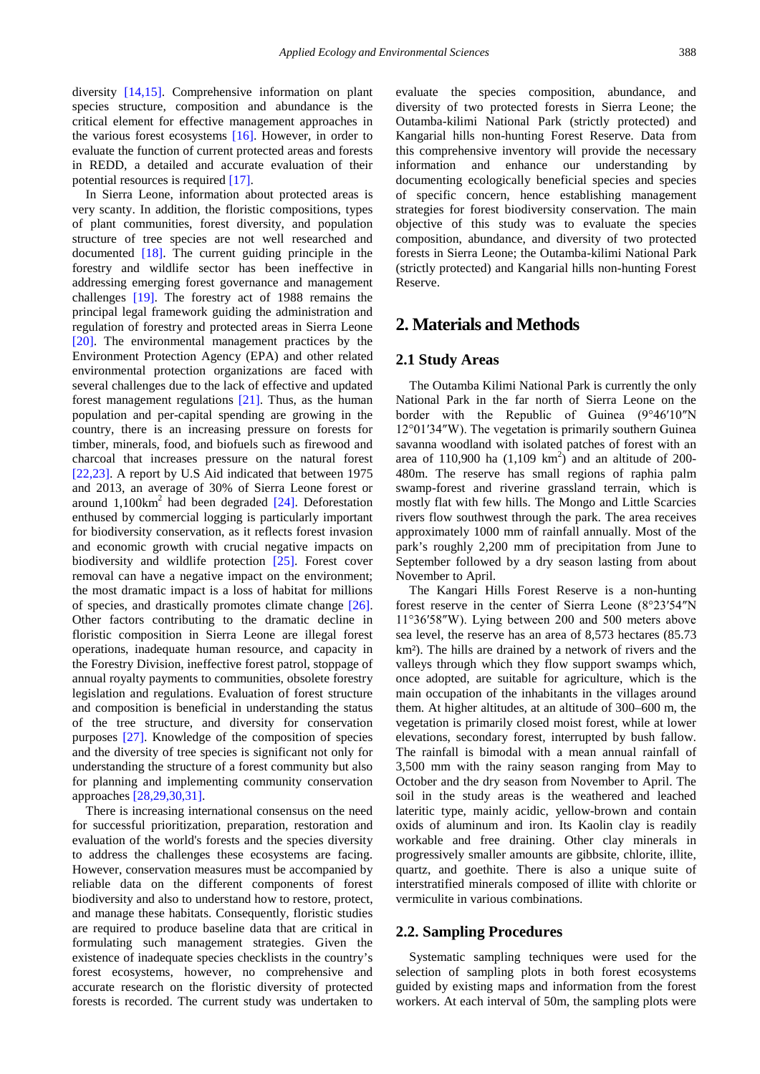diversity [\[14,15\].](#page-6-3) Comprehensive information on plant species structure, composition and abundance is the critical element for effective management approaches in the various forest ecosystems [\[16\].](#page-6-4) However, in order to evaluate the function of current protected areas and forests in REDD, a detailed and accurate evaluation of their potential resources is required [\[17\].](#page-6-5)

In Sierra Leone, information about protected areas is very scanty. In addition, the floristic compositions, types of plant communities, forest diversity, and population structure of tree species are not well researched and documented [\[18\].](#page-6-6) The current guiding principle in the forestry and wildlife sector has been ineffective in addressing emerging forest governance and management challenges [\[19\].](#page-6-7) The forestry act of 1988 remains the principal legal framework guiding the administration and regulation of forestry and protected areas in Sierra Leone [\[20\].](#page-6-8) The environmental management practices by the Environment Protection Agency (EPA) and other related environmental protection organizations are faced with several challenges due to the lack of effective and updated forest management regulations [\[21\].](#page-6-9) Thus, as the human population and per-capital spending are growing in the country, there is an increasing pressure on forests for timber, minerals, food, and biofuels such as firewood and charcoal that increases pressure on the natural forest [\[22,23\].](#page-6-10) A report by U.S Aid indicated that between 1975 and 2013, an average of 30% of Sierra Leone forest or around  $1,100 \text{km}^2$  had been degraded [\[24\].](#page-6-11) Deforestation enthused by commercial logging is particularly important for biodiversity conservation, as it reflects forest invasion and economic growth with crucial negative impacts on biodiversity and wildlife protection [\[25\].](#page-6-12) Forest cover removal can have a negative impact on the environment; the most dramatic impact is a loss of habitat for millions of species, and drastically promotes climate change [\[26\].](#page-6-13) Other factors contributing to the dramatic decline in floristic composition in Sierra Leone are illegal forest operations, inadequate human resource, and capacity in the Forestry Division, ineffective forest patrol, stoppage of annual royalty payments to communities, obsolete forestry legislation and regulations. Evaluation of forest structure and composition is beneficial in understanding the status of the tree structure, and diversity for conservation purposes [\[27\].](#page-6-14) Knowledge of the composition of species and the diversity of tree species is significant not only for understanding the structure of a forest community but also for planning and implementing community conservation approaches [\[28,29,30,31\].](#page-6-15) 

There is increasing international consensus on the need for successful prioritization, preparation, restoration and evaluation of the world's forests and the species diversity to address the challenges these ecosystems are facing. However, conservation measures must be accompanied by reliable data on the different components of forest biodiversity and also to understand how to restore, protect, and manage these habitats. Consequently, floristic studies are required to produce baseline data that are critical in formulating such management strategies. Given the existence of inadequate species checklists in the country's forest ecosystems, however, no comprehensive and accurate research on the floristic diversity of protected forests is recorded. The current study was undertaken to

evaluate the species composition, abundance, and diversity of two protected forests in Sierra Leone; the Outamba-kilimi National Park (strictly protected) and Kangarial hills non-hunting Forest Reserve. Data from this comprehensive inventory will provide the necessary information and enhance our understanding by documenting ecologically beneficial species and species of specific concern, hence establishing management strategies for forest biodiversity conservation. The main objective of this study was to evaluate the species composition, abundance, and diversity of two protected forests in Sierra Leone; the Outamba-kilimi National Park (strictly protected) and Kangarial hills non-hunting Forest Reserve.

# **2. Materials and Methods**

#### **2.1 Study Areas**

The Outamba Kilimi National Park is currently the only National Park in the far north of Sierra Leone on the border with the Republic of Guinea (9°46′10″N 12°01′34″W). The vegetation is primarily southern Guinea savanna woodland with isolated patches of forest with an area of 110,900 ha  $(1,109 \text{ km}^2)$  and an altitude of 200-480m. The reserve has small regions of raphia palm swamp-forest and riverine grassland terrain, which is mostly flat with few hills. The Mongo and Little Scarcies rivers flow southwest through the park. The area receives approximately 1000 mm of rainfall annually. Most of the park's roughly 2,200 mm of precipitation from June to September followed by a dry season lasting from about November to April.

The Kangari Hills Forest Reserve is a non-hunting forest reserve in the center of Sierra Leone (8°23′54″N 11°36′58″W). Lying between 200 and 500 meters above sea level, the reserve has an area of 8,573 hectares (85.73 km²). The hills are drained by a network of rivers and the valleys through which they flow support swamps which, once adopted, are suitable for agriculture, which is the main occupation of the inhabitants in the villages around them. At higher altitudes, at an altitude of 300–600 m, the vegetation is primarily closed moist forest, while at lower elevations, secondary forest, interrupted by bush fallow. The rainfall is bimodal with a mean annual rainfall of 3,500 mm with the rainy season ranging from May to October and the dry season from November to April. The soil in the study areas is the weathered and leached lateritic type, mainly acidic, yellow-brown and contain oxids of aluminum and iron. Its Kaolin clay is readily workable and free draining. Other clay minerals in progressively smaller amounts are gibbsite, chlorite, illite, quartz, and goethite. There is also a unique suite of interstratified minerals composed of illite with chlorite or vermiculite in various combinations.

#### **2.2. Sampling Procedures**

Systematic sampling techniques were used for the selection of sampling plots in both forest ecosystems guided by existing maps and information from the forest workers. At each interval of 50m, the sampling plots were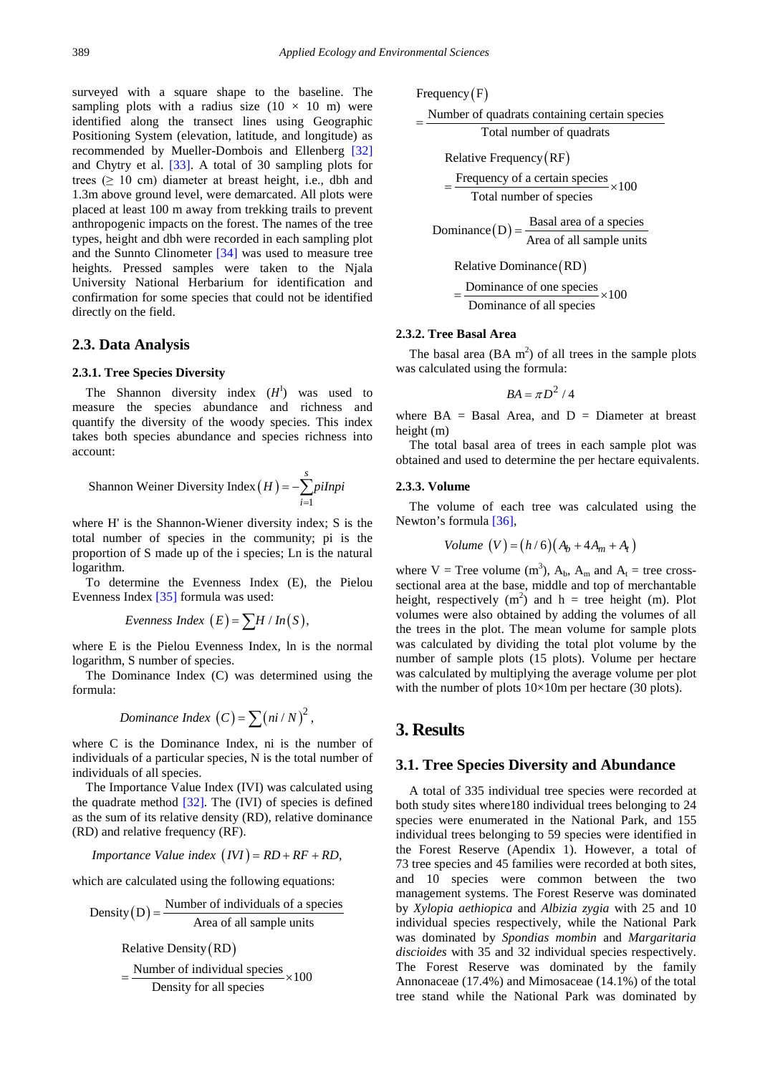surveyed with a square shape to the baseline. The sampling plots with a radius size  $(10 \times 10 \text{ m})$  were identified along the transect lines using Geographic Positioning System (elevation, latitude, and longitude) as recommended by Mueller-Dombois and Ellenberg [\[32\]](#page-6-16) and Chytry et al. [\[33\].](#page-6-17) A total of 30 sampling plots for trees ( $\geq 10$  cm) diameter at breast height, i.e., dbh and 1.3m above ground level, were demarcated. All plots were placed at least 100 m away from trekking trails to prevent anthropogenic impacts on the forest. The names of the tree types, height and dbh were recorded in each sampling plot and the Sunnto Clinometer [\[34\]](#page-6-18) was used to measure tree heights. Pressed samples were taken to the Njala University National Herbarium for identification and confirmation for some species that could not be identified directly on the field.

#### **2.3. Data Analysis**

#### **2.3.1. Tree Species Diversity**

The Shannon diversity index  $(H<sup>I</sup>)$  was used to measure the species abundance and richness and quantify the diversity of the woody species. This index takes both species abundance and species richness into account:

Shannon Weiner Diversity Index 
$$
(H) = -\sum_{i=1}^{s} pihpi
$$

where H' is the Shannon-Wiener diversity index; S is the total number of species in the community; pi is the proportion of S made up of the i species; Ln is the natural logarithm.

To determine the Evenness Index (E), the Pielou Evenness Index [\[35\]](#page-6-19) formula was used:

$$
Evenness Index (E) = \sum H / In(S),
$$

where E is the Pielou Evenness Index, ln is the normal logarithm, S number of species.

The Dominance Index (C) was determined using the formula:

$$
Dominance Index (C) = \sum (ni/N)^2,
$$

where C is the Dominance Index, ni is the number of individuals of a particular species, N is the total number of individuals of all species.

The Importance Value Index (IVI) was calculated using the quadrate method  $[32]$ . The (IVI) of species is defined as the sum of its relative density (RD), relative dominance (RD) and relative frequency (RF).

*Importance Value index* 
$$
(IVI) = RD + RF + RD
$$
,

which are calculated using the following equations:

Density (D) = 
$$
\frac{\text{Number of individuals of a species}}{\text{Area of all sample units}}
$$

Relative Density  $(RD)$ 

$$
= \frac{\text{Number of individual species}}{\text{Density for all species}} \times 100
$$

Frequency  $(F)$ 

Number of quadrats containing certain species

Total number of quadrats <sup>=</sup>

Relative Frequency  $(RF)$ 

 $=\frac{\text{Frequency of a certain species}}{\text{Total number of species}} \times 100$ 

Dominance  $(D) = \frac{\text{Basal area of a species}}{\text{Area of all sample units}}$ 

Relative Dominance (RD)

 $=\frac{\text{Dominance of one species}}{\text{Dominance of all species}} \times 100$ 

#### **2.3.2. Tree Basal Area**

The basal area  $(BA \text{ m}^2)$  of all trees in the sample plots was calculated using the formula:

$$
BA = \pi D^2 / 4
$$

where  $BA = Basal Area$ , and  $D = Di$ ameter at breast height (m)

The total basal area of trees in each sample plot was obtained and used to determine the per hectare equivalents.

#### **2.3.3. Volume**

The volume of each tree was calculated using the Newton's formul[a \[36\],](#page-6-20)

$$
Volume (V) = (h/6)(Ab + 4Am + At)
$$

where  $V =$  Tree volume  $(m^3)$ ,  $A_b$ ,  $A_m$  and  $A_t =$  tree crosssectional area at the base, middle and top of merchantable height, respectively  $(m^2)$  and h = tree height (m). Plot volumes were also obtained by adding the volumes of all the trees in the plot. The mean volume for sample plots was calculated by dividing the total plot volume by the number of sample plots (15 plots). Volume per hectare was calculated by multiplying the average volume per plot with the number of plots  $10\times10$ m per hectare (30 plots).

## **3. Results**

#### **3.1. Tree Species Diversity and Abundance**

A total of 335 individual tree species were recorded at both study sites where180 individual trees belonging to 24 species were enumerated in the National Park, and 155 individual trees belonging to 59 species were identified in the Forest Reserve (Apendix 1). However, a total of 73 tree species and 45 families were recorded at both sites, and 10 species were common between the two management systems. The Forest Reserve was dominated by *Xylopia aethiopica* and *Albizia zygia* with 25 and 10 individual species respectively, while the National Park was dominated by *Spondias mombin* and *Margaritaria discioides* with 35 and 32 individual species respectively. The Forest Reserve was dominated by the family Annonaceae (17.4%) and Mimosaceae (14.1%) of the total tree stand while the National Park was dominated by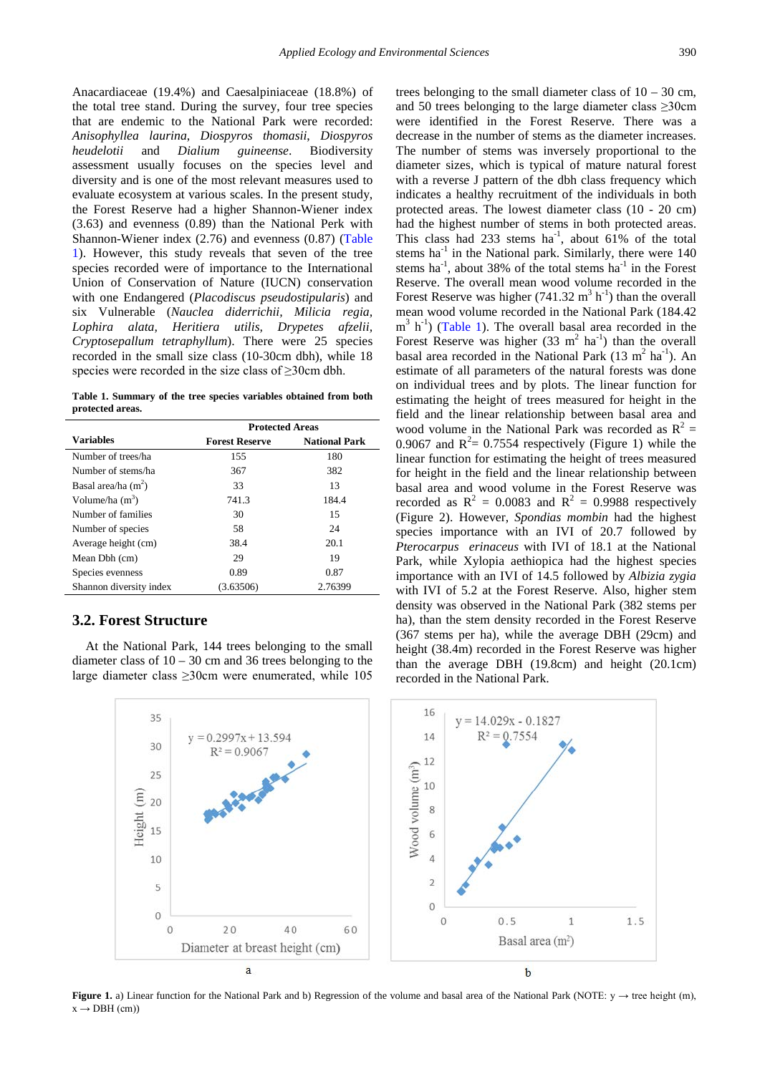Anacardiaceae (19.4%) and Caesalpiniaceae (18.8%) of the total tree stand. During the survey, four tree species that are endemic to the National Park were recorded: *Anisophyllea laurina*, *Diospyros thomasii*, *Diospyros heudelotii* and *Dialium guineense*. Biodiversity assessment usually focuses on the species level and diversity and is one of the most relevant measures used to evaluate ecosystem at various scales. In the present study, the Forest Reserve had a higher Shannon-Wiener index (3.63) and evenness (0.89) than the National Perk with Shannon-Wiener index (2.76) and evenness (0.87) [\(Table](#page-3-0)  [1\)](#page-3-0). However, this study reveals that seven of the tree species recorded were of importance to the International Union of Conservation of Nature (IUCN) conservation with one Endangered (*Placodiscus pseudostipularis*) and six Vulnerable (*Nauclea diderrichii, Milicia regia, Lophira alata, Heritiera utilis, Drypetes afzelii, Cryptosepallum tetraphyllum*). There were 25 species recorded in the small size class (10-30cm dbh), while 18 species were recorded in the size class of ≥30cm dbh.

**Table 1. Summary of the tree species variables obtained from both protected areas.**

<span id="page-3-0"></span>

|                         | <b>Protected Areas</b> |                      |  |
|-------------------------|------------------------|----------------------|--|
| <b>Variables</b>        | <b>Forest Reserve</b>  | <b>National Park</b> |  |
| Number of trees/ha      | 155                    | 180                  |  |
| Number of stems/ha      | 367                    | 382                  |  |
| Basal area/ha $(m2)$    | 33                     | 13                   |  |
| Volume/ha $(m3)$        | 741.3                  | 184.4                |  |
| Number of families      | 30                     | 15                   |  |
| Number of species       | 58                     | 24                   |  |
| Average height (cm)     | 38.4                   | 20.1                 |  |
| Mean Dbh (cm)           | 29                     | 19                   |  |
| Species evenness        | 0.89                   | 0.87                 |  |
| Shannon diversity index | (3.63506)              | 2.76399              |  |

## **3.2. Forest Structure**

At the National Park, 144 trees belonging to the small diameter class of 10 – 30 cm and 36 trees belonging to the large diameter class ≥30cm were enumerated, while 105

trees belonging to the small diameter class of  $10 - 30$  cm, and 50 trees belonging to the large diameter class ≥30cm were identified in the Forest Reserve. There was a decrease in the number of stems as the diameter increases. The number of stems was inversely proportional to the diameter sizes, which is typical of mature natural forest with a reverse J pattern of the dbh class frequency which indicates a healthy recruitment of the individuals in both protected areas. The lowest diameter class (10 - 20 cm) had the highest number of stems in both protected areas. This class had  $233$  stems ha<sup>-1</sup>, about  $61\%$  of the total stems ha $^{-1}$  in the National park. Similarly, there were 140 stems ha<sup>-1</sup>, about 38% of the total stems ha<sup>-1</sup> in the Forest Reserve. The overall mean wood volume recorded in the Forest Reserve was higher  $(741.32 \text{ m}^3 \text{ h}^{-1})$  than the overall mean wood volume recorded in the National Park (184.42  $m<sup>3</sup>$  h<sup>-1</sup>) [\(Table 1\)](#page-3-0). The overall basal area recorded in the Forest Reserve was higher  $(33 \text{ m}^2 \text{ ha}^{-1})$  than the overall basal area recorded in the National Park  $(13 \text{ m}^2 \text{ ha}^{-1})$ . An estimate of all parameters of the natural forests was done on individual trees and by plots. The linear function for estimating the height of trees measured for height in the field and the linear relationship between basal area and wood volume in the National Park was recorded as  $R^2 =$ 0.9067 and  $R^2 = 0.7554$  respectively (Figure 1) while the linear function for estimating the height of trees measured for height in the field and the linear relationship between basal area and wood volume in the Forest Reserve was recorded as  $R^2 = 0.0083$  and  $R^2 = 0.9988$  respectively (Figure 2). However, *Spondias mombin* had the highest species importance with an IVI of 20.7 followed by *Pterocarpus erinaceus* with IVI of 18.1 at the National Park, while Xylopia aethiopica had the highest species importance with an IVI of 14.5 followed by *Albizia zygia* with IVI of 5.2 at the Forest Reserve. Also, higher stem density was observed in the National Park (382 stems per ha), than the stem density recorded in the Forest Reserve (367 stems per ha), while the average DBH (29cm) and height (38.4m) recorded in the Forest Reserve was higher than the average DBH (19.8cm) and height (20.1cm) recorded in the National Park.



**Figure 1.** a) Linear function for the National Park and b) Regression of the volume and basal area of the National Park (NOTE: y → tree height (m),  $x \rightarrow DBH$  (cm))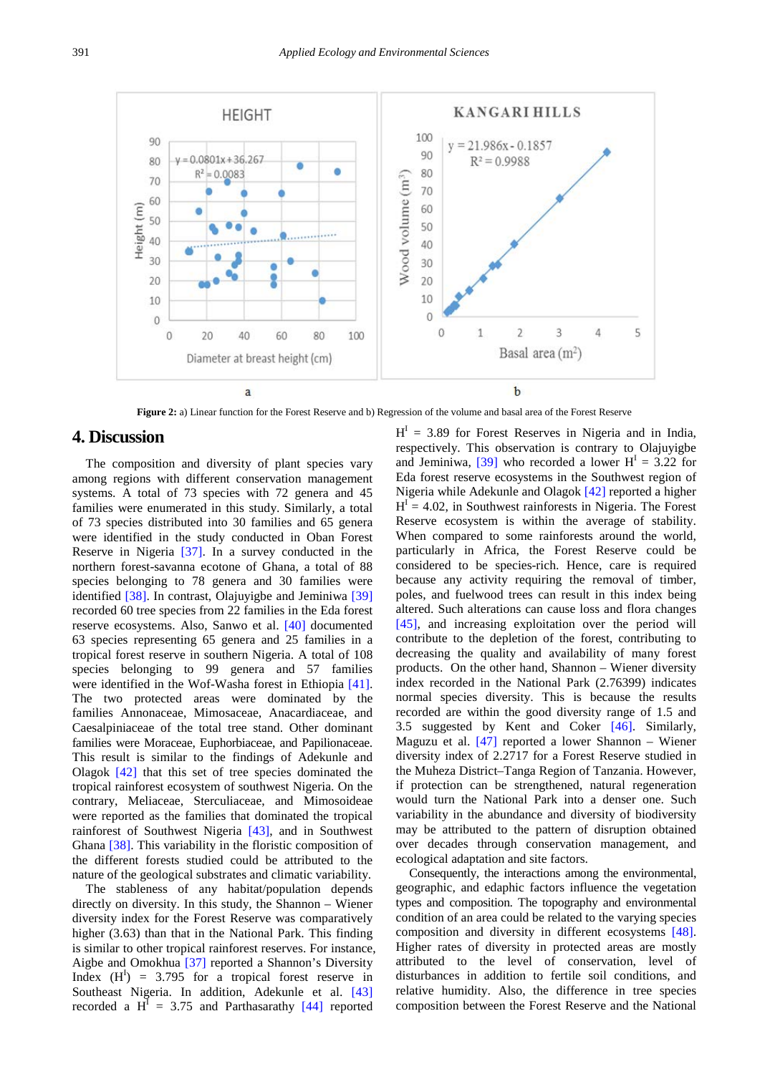

**Figure 2:** a) Linear function for the Forest Reserve and b) Regression of the volume and basal area of the Forest Reserve

### **4. Discussion**

The composition and diversity of plant species vary among regions with different conservation management systems. A total of 73 species with 72 genera and 45 families were enumerated in this study. Similarly, a total of 73 species distributed into 30 families and 65 genera were identified in the study conducted in Oban Forest Reserve in Nigeria [\[37\].](#page-6-21) In a survey conducted in the northern forest-savanna ecotone of Ghana, a total of 88 species belonging to 78 genera and 30 families were identified [\[38\].](#page-6-22) In contrast, Olajuyigbe and Jeminiwa [\[39\]](#page-6-23) recorded 60 tree species from 22 families in the Eda forest reserve ecosystems. Also, Sanwo et al. [\[40\]](#page-6-24) documented 63 species representing 65 genera and 25 families in a tropical forest reserve in southern Nigeria. A total of 108 species belonging to 99 genera and 57 families were identified in the Wof-Washa forest in Ethiopia [\[41\].](#page-6-25) The two protected areas were dominated by the families Annonaceae, Mimosaceae, Anacardiaceae, and Caesalpiniaceae of the total tree stand. Other dominant families were Moraceae, Euphorbiaceae, and Papilionaceae. This result is similar to the findings of Adekunle and Olagok [\[42\]](#page-6-26) that this set of tree species dominated the tropical rainforest ecosystem of southwest Nigeria. On the contrary, Meliaceae, Sterculiaceae, and Mimosoideae were reported as the families that dominated the tropical rainforest of Southwest Nigeria [\[43\],](#page-6-27) and in Southwest Ghana [\[38\].](#page-6-22) This variability in the floristic composition of the different forests studied could be attributed to the nature of the geological substrates and climatic variability.

The stableness of any habitat/population depends directly on diversity. In this study, the Shannon – Wiener diversity index for the Forest Reserve was comparatively higher (3.63) than that in the National Park. This finding is similar to other tropical rainforest reserves. For instance, Aigbe and Omokhua [\[37\]](#page-6-21) reported a Shannon's Diversity Index  $(H<sup>I</sup>)$  = 3.795 for a tropical forest reserve in Southeast Nigeria. In addition, Adekunle et al. [\[43\]](#page-6-27) recorded a  $H^I = 3.75$  and Parthasarathy [\[44\]](#page-6-28) reported

 $H<sup>I</sup> = 3.89$  for Forest Reserves in Nigeria and in India. respectively. This observation is contrary to Olajuyigbe and Jeminiwa, [\[39\]](#page-6-23) who recorded a lower  $H<sup>1</sup> = 3.22$  for Eda forest reserve ecosystems in the Southwest region of Nigeria while Adekunle and Olagok [\[42\]](#page-6-26) reported a higher  $H' = 4.02$ , in Southwest rainforests in Nigeria. The Forest Reserve ecosystem is within the average of stability. When compared to some rainforests around the world, particularly in Africa, the Forest Reserve could be considered to be species-rich. Hence, care is required because any activity requiring the removal of timber, poles, and fuelwood trees can result in this index being altered. Such alterations can cause loss and flora changes [\[45\],](#page-6-29) and increasing exploitation over the period will contribute to the depletion of the forest, contributing to decreasing the quality and availability of many forest products. On the other hand, Shannon – Wiener diversity index recorded in the National Park (2.76399) indicates normal species diversity. This is because the results recorded are within the good diversity range of 1.5 and 3.5 suggested by Kent and Coker [\[46\].](#page-6-30) Similarly, Maguzu et al. [\[47\]](#page-6-31) reported a lower Shannon – Wiener diversity index of 2.2717 for a Forest Reserve studied in the Muheza District–Tanga Region of Tanzania. However, if protection can be strengthened, natural regeneration would turn the National Park into a denser one. Such variability in the abundance and diversity of biodiversity may be attributed to the pattern of disruption obtained over decades through conservation management, and ecological adaptation and site factors.

Consequently, the interactions among the environmental, geographic, and edaphic factors influence the vegetation types and composition. The topography and environmental condition of an area could be related to the varying species composition and diversity in different ecosystems [\[48\].](#page-6-32) Higher rates of diversity in protected areas are mostly attributed to the level of conservation, level of disturbances in addition to fertile soil conditions, and relative humidity. Also, the difference in tree species composition between the Forest Reserve and the National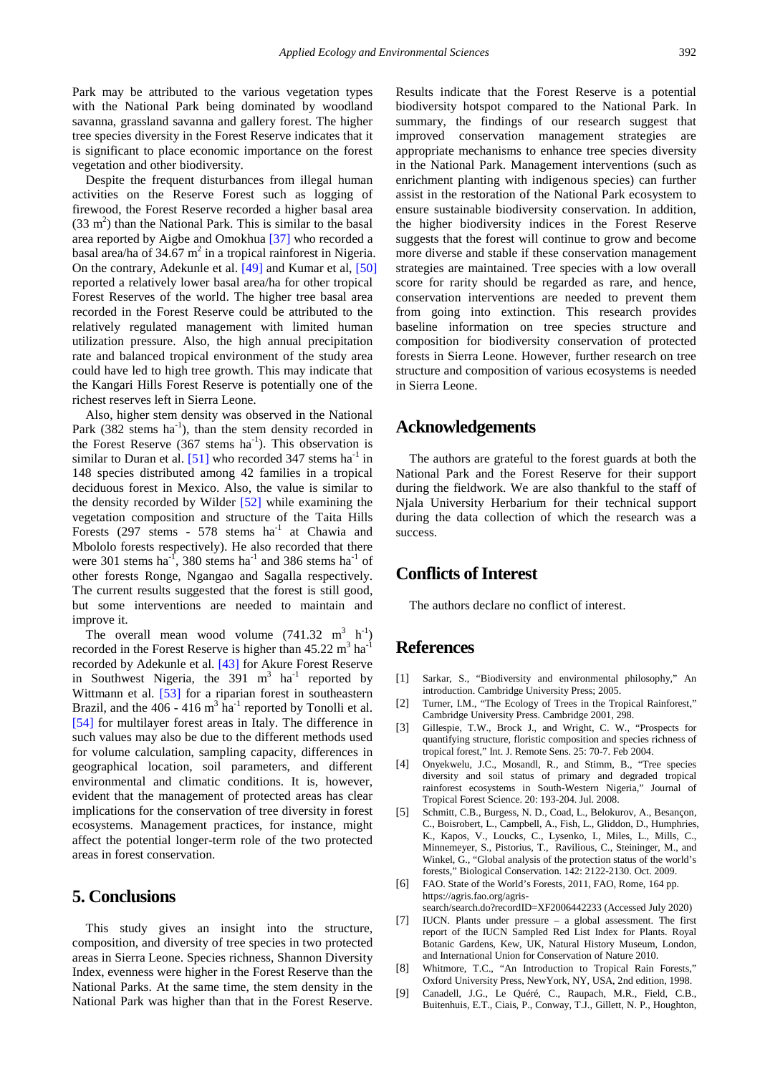Park may be attributed to the various vegetation types with the National Park being dominated by woodland savanna, grassland savanna and gallery forest. The higher tree species diversity in the Forest Reserve indicates that it is significant to place economic importance on the forest vegetation and other biodiversity.

Despite the frequent disturbances from illegal human activities on the Reserve Forest such as logging of firewood, the Forest Reserve recorded a higher basal area  $(33 \text{ m}^2)$  than the National Park. This is similar to the basal area reported by Aigbe and Omokhua [\[37\]](#page-6-21) who recorded a basal area/ha of 34.67  $m<sup>2</sup>$  in a tropical rainforest in Nigeria. On the contrary, Adekunle et al. [\[49\]](#page-6-33) and Kumar et al, [\[50\]](#page-6-34) reported a relatively lower basal area/ha for other tropical Forest Reserves of the world. The higher tree basal area recorded in the Forest Reserve could be attributed to the relatively regulated management with limited human utilization pressure. Also, the high annual precipitation rate and balanced tropical environment of the study area could have led to high tree growth. This may indicate that the Kangari Hills Forest Reserve is potentially one of the richest reserves left in Sierra Leone.

Also, higher stem density was observed in the National Park  $(382 \text{ stems ha}^{-1})$ , than the stem density recorded in the Forest Reserve  $(367 \text{ stems} \text{ha}^{-1})$ . This observation is similar to Duran et al.  $[51]$  who recorded 347 stems ha<sup>-1</sup> in 148 species distributed among 42 families in a tropical deciduous forest in Mexico. Also, the value is similar to the density recorded by Wilder [\[52\]](#page-7-1) while examining the vegetation composition and structure of the Taita Hills Forests (297 stems -  $578$  stems  $ha^{-1}$  at Chawia and Mbololo forests respectively). He also recorded that there were 301 stems ha<sup>-1</sup>, 380 stems ha<sup>-1</sup> and 386 stems ha<sup>-1</sup> of other forests Ronge, Ngangao and Sagalla respectively. The current results suggested that the forest is still good, but some interventions are needed to maintain and improve it.

The overall mean wood volume  $(741.32 \text{ m}^3 \text{ h}^{-1})$ recorded in the Forest Reserve is higher than  $45.22 \text{ m}^3 \text{ ha}^{-1}$ recorded by Adekunle et al. [\[43\]](#page-6-27) for Akure Forest Reserve in Southwest Nigeria, the  $391 \text{ m}^3$  ha<sup>-1</sup> reported by Wittmann et al. [\[53\]](#page-7-2) for a riparian forest in southeastern Brazil, and the  $406 - 416$  m<sup>3</sup> ha<sup>-1</sup> reported by Tonolli et al. [\[54\]](#page-7-3) for multilayer forest areas in Italy. The difference in such values may also be due to the different methods used for volume calculation, sampling capacity, differences in geographical location, soil parameters, and different environmental and climatic conditions. It is, however, evident that the management of protected areas has clear implications for the conservation of tree diversity in forest ecosystems. Management practices, for instance, might affect the potential longer-term role of the two protected areas in forest conservation.

## **5. Conclusions**

This study gives an insight into the structure, composition, and diversity of tree species in two protected areas in Sierra Leone. Species richness, Shannon Diversity Index, evenness were higher in the Forest Reserve than the National Parks. At the same time, the stem density in the National Park was higher than that in the Forest Reserve. Results indicate that the Forest Reserve is a potential biodiversity hotspot compared to the National Park. In summary, the findings of our research suggest that improved conservation management strategies are appropriate mechanisms to enhance tree species diversity in the National Park. Management interventions (such as enrichment planting with indigenous species) can further assist in the restoration of the National Park ecosystem to ensure sustainable biodiversity conservation. In addition, the higher biodiversity indices in the Forest Reserve suggests that the forest will continue to grow and become more diverse and stable if these conservation management strategies are maintained. Tree species with a low overall score for rarity should be regarded as rare, and hence, conservation interventions are needed to prevent them from going into extinction. This research provides baseline information on tree species structure and composition for biodiversity conservation of protected forests in Sierra Leone. However, further research on tree structure and composition of various ecosystems is needed in Sierra Leone.

## **Acknowledgements**

The authors are grateful to the forest guards at both the National Park and the Forest Reserve for their support during the fieldwork. We are also thankful to the staff of Njala University Herbarium for their technical support during the data collection of which the research was a success.

## **Conflicts of Interest**

The authors declare no conflict of interest.

## **References**

- <span id="page-5-0"></span>[1] Sarkar, S., "Biodiversity and environmental philosophy," An introduction. Cambridge University Press; 2005.
- <span id="page-5-1"></span>[2] Turner, I.M., "The Ecology of Trees in the Tropical Rainforest," Cambridge University Press. Cambridge 2001, 298.
- [3] Gillespie, T.W., Brock J., and Wright, C. W., "Prospects for quantifying structure, floristic composition and species richness of tropical forest," Int. J. Remote Sens. 25: 70-7. Feb 2004.
- [4] Onyekwelu, J.C., Mosandl, R., and Stimm, B., "Tree species diversity and soil status of primary and degraded tropical rainforest ecosystems in South-Western Nigeria," Journal of Tropical Forest Science. 20: 193-204. Jul. 2008.
- [5] Schmitt, C.B., Burgess, N. D., Coad, L., Belokurov, A., Besançon, C., Boisrobert, L., Campbell, A., Fish, L., Gliddon, D., Humphries, K., Kapos, V., Loucks, C., Lysenko, I., Miles, L., Mills, C., Minnemeyer, S., Pistorius, T., Ravilious, C., Steininger, M., and Winkel, G., "Global analysis of the protection status of the world's forests," Biological Conservation. 142: 2122-2130. Oct. 2009.
- [6] FAO. State of the World's Forests, 2011, FAO, Rome, 164 pp. https://agris.fao.org/agris
	- search/search.do?recordID=XF2006442233 (Accessed July 2020)
- [7] IUCN. Plants under pressure a global assessment. The first report of the IUCN Sampled Red List Index for Plants. Royal Botanic Gardens, Kew, UK, Natural History Museum, London, and International Union for Conservation of Nature 2010.
- <span id="page-5-2"></span>[8] Whitmore, T.C., "An Introduction to Tropical Rain Forests," Oxford University Press, NewYork, NY, USA, 2nd edition, 1998.
- <span id="page-5-3"></span>[9] Canadell, J.G., Le Quéré, C., Raupach, M.R., Field, C.B., Buitenhuis, E.T., Ciais, P., Conway, T.J., Gillett, N. P., Houghton,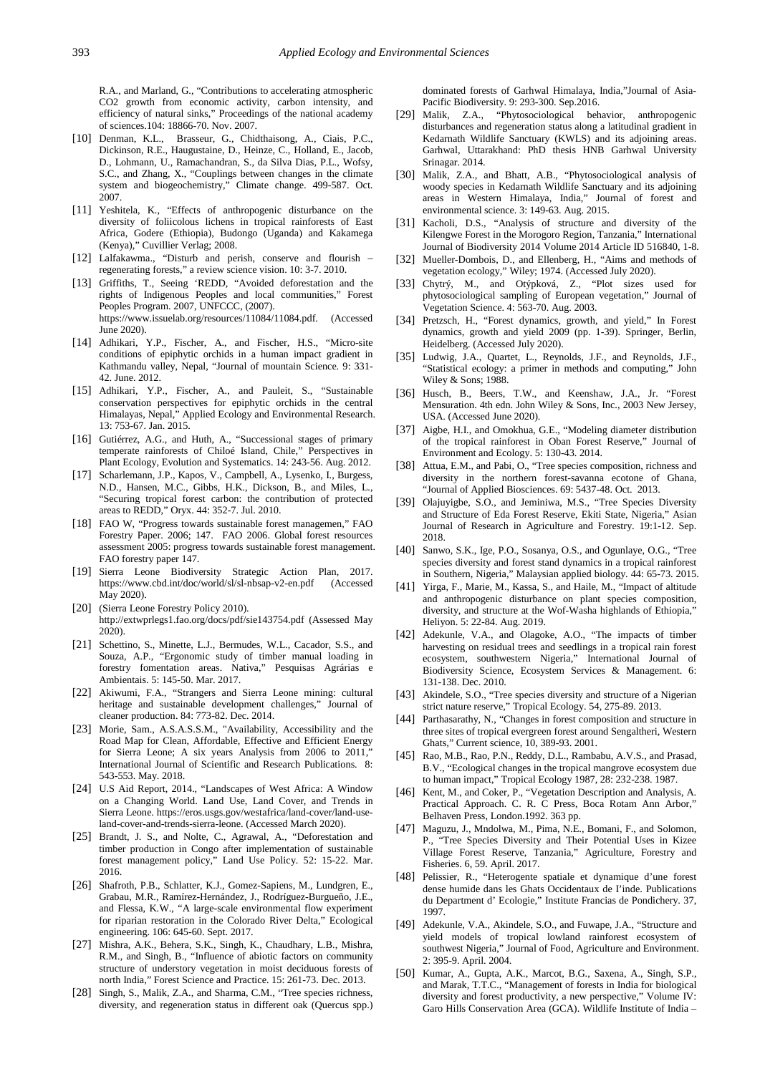R.A., and Marland, G., "Contributions to accelerating atmospheric CO2 growth from economic activity, carbon intensity, and efficiency of natural sinks," Proceedings of the national academy of sciences.104: 18866-70. Nov. 2007.

- [10] Denman, K.L., Brasseur, G., Chidthaisong, A., Ciais, P.C., Dickinson, R.E., Haugustaine, D., Heinze, C., Holland, E., Jacob, D., Lohmann, U., Ramachandran, S., da Silva Dias, P.L., Wofsy, S.C., and Zhang, X., "Couplings between changes in the climate system and biogeochemistry," Climate change. 499-587. Oct. 2007.
- <span id="page-6-0"></span>[11] Yeshitela, K., "Effects of anthropogenic disturbance on the diversity of foliicolous lichens in tropical rainforests of East Africa, Godere (Ethiopia), Budongo (Uganda) and Kakamega (Kenya)," Cuvillier Verlag; 2008.
- <span id="page-6-1"></span>[12] Lalfakawma., "Disturb and perish, conserve and flourish – regenerating forests," a review science vision. 10: 3-7. 2010.
- <span id="page-6-2"></span>[13] Griffiths, T., Seeing 'REDD, "Avoided deforestation and the rights of Indigenous Peoples and local communities," Forest Peoples Program. 2007, UNFCCC, (2007). https://www.issuelab.org/resources/11084/11084.pdf. (Accessed June 2020).
- <span id="page-6-3"></span>[14] Adhikari, Y.P., Fischer, A., and Fischer, H.S., "Micro-site conditions of epiphytic orchids in a human impact gradient in Kathmandu valley, Nepal, "Journal of mountain Science. 9: 331- 42. June. 2012.
- [15] Adhikari, Y.P., Fischer, A., and Pauleit, S., "Sustainable conservation perspectives for epiphytic orchids in the central Himalayas, Nepal," Applied Ecology and Environmental Research. 13: 753-67. Jan. 2015.
- <span id="page-6-4"></span>[16] Gutiérrez, A.G., and Huth, A., "Successional stages of primary temperate rainforests of Chiloé Island, Chile," Perspectives in Plant Ecology, Evolution and Systematics. 14: 243-56. Aug. 2012.
- <span id="page-6-5"></span>[17] Scharlemann, J.P., Kapos, V., Campbell, A., Lysenko, I., Burgess, N.D., Hansen, M.C., Gibbs, H.K., Dickson, B., and Miles, L., "Securing tropical forest carbon: the contribution of protected areas to REDD," Oryx. 44: 352-7. Jul. 2010.
- <span id="page-6-6"></span>[18] FAO W, "Progress towards sustainable forest managemen," FAO Forestry Paper. 2006; 147. FAO 2006. Global forest resources assessment 2005: progress towards sustainable forest management. FAO forestry paper 147.
- <span id="page-6-7"></span>[19] Sierra Leone Biodiversity Strategic Action Plan, 2017. https://www.cbd.int/doc/world/sl/sl-nbsap-v2-en.pdf (Accessed May 2020).
- <span id="page-6-8"></span>[20] (Sierra Leone Forestry Policy 2010). http://extwprlegs1.fao.org/docs/pdf/sie143754.pdf (Assessed May 2020).
- <span id="page-6-9"></span>[21] Schettino, S., Minette, L.J., Bermudes, W.L., Cacador, S.S., and Souza, A.P., "Ergonomic study of timber manual loading in forestry fomentation areas. Nativa," Pesquisas Agrárias e Ambientais. 5: 145-50. Mar. 2017.
- <span id="page-6-10"></span>[22] Akiwumi, F.A., "Strangers and Sierra Leone mining: cultural heritage and sustainable development challenges," Journal of cleaner production. 84: 773-82. Dec. 2014.
- [23] Morie, Sam., A.S.A.S.S.M., "Availability, Accessibility and the Road Map for Clean, Affordable, Effective and Efficient Energy for Sierra Leone; A six years Analysis from 2006 to 2011, International Journal of Scientific and Research Publications. 8: 543-553. May. 2018.
- <span id="page-6-11"></span>[24] U.S Aid Report, 2014., "Landscapes of West Africa: A Window on a Changing World. Land Use, Land Cover, and Trends in Sierra Leone. https://eros.usgs.gov/westafrica/land-cover/land-useland-cover-and-trends-sierra-leone. (Accessed March 2020).
- <span id="page-6-12"></span>[25] Brandt, J. S., and Nolte, C., Agrawal, A., "Deforestation and timber production in Congo after implementation of sustainable forest management policy," Land Use Policy. 52: 15-22. Mar. 2016.
- <span id="page-6-13"></span>[26] Shafroth, P.B., Schlatter, K.J., Gomez-Sapiens, M., Lundgren, E., Grabau, M.R., Ramírez-Hernández, J., Rodríguez-Burgueño, J.E., and Flessa, K.W., "A large-scale environmental flow experiment for riparian restoration in the Colorado River Delta," Ecological engineering. 106: 645-60. Sept. 2017.
- <span id="page-6-14"></span>[27] Mishra, A.K., Behera, S.K., Singh, K., Chaudhary, L.B., Mishra, R.M., and Singh, B., "Influence of abiotic factors on community structure of understory vegetation in moist deciduous forests of north India," Forest Science and Practice. 15: 261-73. Dec. 2013.
- <span id="page-6-15"></span>[28] Singh, S., Malik, Z.A., and Sharma, C.M., "Tree species richness, diversity, and regeneration status in different oak (Quercus spp.)

dominated forests of Garhwal Himalaya, India,"Journal of Asia-Pacific Biodiversity. 9: 293-300. Sep.2016.

- [29] Malik, Z.A., "Phytosociological behavior, anthropogenic disturbances and regeneration status along a latitudinal gradient in Kedarnath Wildlife Sanctuary (KWLS) and its adjoining areas. Garhwal, Uttarakhand: PhD thesis HNB Garhwal University Srinagar. 2014.
- [30] Malik, Z.A., and Bhatt, A.B., "Phytosociological analysis of woody species in Kedarnath Wildlife Sanctuary and its adjoining areas in Western Himalaya, India," Journal of forest and environmental science. 3: 149-63. Aug. 2015.
- [31] Kacholi, D.S., "Analysis of structure and diversity of the Kilengwe Forest in the Morogoro Region, Tanzania," International Journal of Biodiversity 2014 Volume 2014 Article ID 516840, 1-8.
- <span id="page-6-16"></span>[32] Mueller-Dombois, D., and Ellenberg, H., "Aims and methods of vegetation ecology," Wiley; 1974. (Accessed July 2020).
- <span id="page-6-17"></span>[33] Chytrý, M., and Otýpková, Z., "Plot sizes used for phytosociological sampling of European vegetation," Journal of Vegetation Science. 4: 563-70. Aug. 2003.
- <span id="page-6-18"></span>[34] Pretzsch, H., "Forest dynamics, growth, and yield," In Forest dynamics, growth and yield 2009 (pp. 1-39). Springer, Berlin, Heidelberg. (Accessed July 2020).
- <span id="page-6-19"></span>[35] Ludwig, J.A., Quartet, L., Reynolds, J.F., and Reynolds, J.F., "Statistical ecology: a primer in methods and computing," John Wiley & Sons; 1988.
- <span id="page-6-20"></span>[36] Husch, B., Beers, T.W., and Keenshaw, J.A., Jr. "Forest Mensuration. 4th edn. John Wiley & Sons, Inc., 2003 New Jersey, USA. (Accessed June 2020).
- <span id="page-6-21"></span>[37] Aigbe, H.I., and Omokhua, G.E., "Modeling diameter distribution of the tropical rainforest in Oban Forest Reserve," Journal of Environment and Ecology. 5: 130-43. 2014.
- <span id="page-6-22"></span>[38] Attua, E.M., and Pabi, O., "Tree species composition, richness and diversity in the northern forest-savanna ecotone of Ghana, "Journal of Applied Biosciences. 69: 5437-48. Oct. 2013.
- <span id="page-6-23"></span>[39] Olajuyigbe, S.O., and Jeminiwa, M.S., "Tree Species Diversity and Structure of Eda Forest Reserve, Ekiti State, Nigeria," Asian Journal of Research in Agriculture and Forestry. 19:1-12. Sep. 2018.
- <span id="page-6-24"></span>[40] Sanwo, S.K., Ige, P.O., Sosanya, O.S., and Ogunlaye, O.G., "Tree species diversity and forest stand dynamics in a tropical rainforest in Southern, Nigeria," Malaysian applied biology. 44: 65-73. 2015.
- <span id="page-6-25"></span>[41] Yirga, F., Marie, M., Kassa, S., and Haile, M., "Impact of altitude and anthropogenic disturbance on plant species composition, diversity, and structure at the Wof-Washa highlands of Ethiopia," Heliyon. 5: 22-84. Aug. 2019.
- <span id="page-6-26"></span>[42] Adekunle, V.A., and Olagoke, A.O., "The impacts of timber harvesting on residual trees and seedlings in a tropical rain forest ecosystem, southwestern Nigeria," International Journal of Biodiversity Science, Ecosystem Services & Management. 6: 131-138. Dec. 2010.
- <span id="page-6-27"></span>[43] Akindele, S.O., "Tree species diversity and structure of a Nigerian strict nature reserve," Tropical Ecology. 54, 275-89. 2013.
- <span id="page-6-28"></span>[44] Parthasarathy, N., "Changes in forest composition and structure in three sites of tropical evergreen forest around Sengaltheri, Western Ghats," Current science, 10, 389-93. 2001.
- <span id="page-6-29"></span>[45] Rao, M.B., Rao, P.N., Reddy, D.L., Rambabu, A.V.S., and Prasad, B.V., "Ecological changes in the tropical mangrove ecosystem due to human impact," Tropical Ecology 1987, 28: 232-238. 1987.
- <span id="page-6-30"></span>[46] Kent, M., and Coker, P., "Vegetation Description and Analysis, A. Practical Approach. C. R. C Press, Boca Rotam Ann Arbor," Belhaven Press, London.1992. 363 pp.
- <span id="page-6-31"></span>[47] Maguzu, J., Mndolwa, M., Pima, N.E., Bomani, F., and Solomon, P., "Tree Species Diversity and Their Potential Uses in Kizee Village Forest Reserve, Tanzania," Agriculture, Forestry and Fisheries. 6, 59. April. 2017.
- <span id="page-6-32"></span>[48] Pelissier, R., "Heterogente spatiale et dynamique d'une forest dense humide dans les Ghats Occidentaux de I'inde. Publications du Department d' Ecologie," Institute Francias de Pondichery. 37, 1997.
- <span id="page-6-33"></span>[49] Adekunle, V.A., Akindele, S.O., and Fuwape, J.A., "Structure and yield models of tropical lowland rainforest ecosystem of southwest Nigeria," Journal of Food, Agriculture and Environment. 2: 395-9. April. 2004.
- <span id="page-6-34"></span>[50] Kumar, A., Gupta, A.K., Marcot, B.G., Saxena, A., Singh, S.P., and Marak, T.T.C., "Management of forests in India for biological diversity and forest productivity, a new perspective," Volume IV: Garo Hills Conservation Area (GCA). Wildlife Institute of India –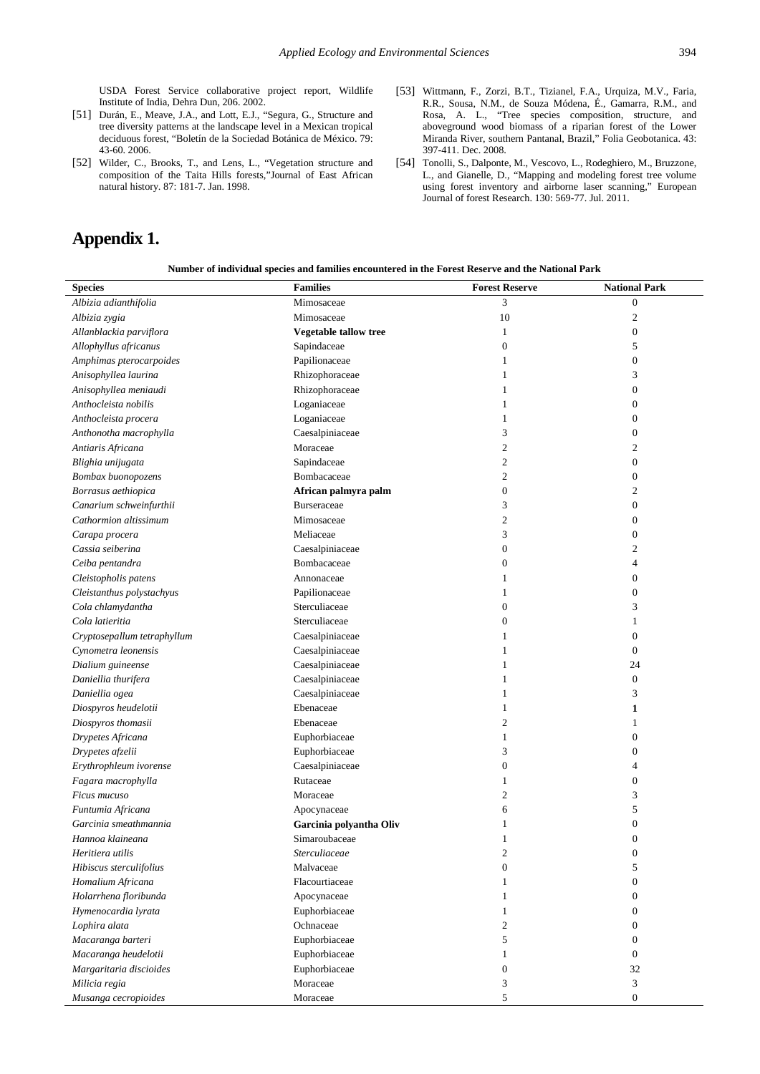USDA Forest Service collaborative project report, Wildlife Institute of India, Dehra Dun, 206. 2002.

- <span id="page-7-0"></span>[51] Durán, E., Meave, J.A., and Lott, E.J., "Segura, G., Structure and tree diversity patterns at the landscape level in a Mexican tropical deciduous forest, "Boletín de la Sociedad Botánica de México. 79: 43-60. 2006.
- <span id="page-7-1"></span>[52] Wilder, C., Brooks, T., and Lens, L., "Vegetation structure and composition of the Taita Hills forests,"Journal of East African natural history. 87: 181-7. Jan. 1998.

# **Appendix 1.**

- <span id="page-7-2"></span>[53] Wittmann, F., Zorzi, B.T., Tizianel, F.A., Urquiza, M.V., Faria, R.R., Sousa, N.M., de Souza Módena, É., Gamarra, R.M., and Rosa, A. L., "Tree species composition, structure, and aboveground wood biomass of a riparian forest of the Lower Miranda River, southern Pantanal, Brazil," Folia Geobotanica. 43: 397-411. Dec. 2008.
- <span id="page-7-3"></span>[54] Tonolli, S., Dalponte, M., Vescovo, L., Rodeghiero, M., Bruzzone, L., and Gianelle, D., "Mapping and modeling forest tree volume using forest inventory and airborne laser scanning," European Journal of forest Research. 130: 569-77. Jul. 2011.

| <b>Species</b>              | <b>Families</b>         | <b>Forest Reserve</b> | <b>National Park</b> |
|-----------------------------|-------------------------|-----------------------|----------------------|
| Albizia adianthifolia       | Mimosaceae              | 3                     | $\boldsymbol{0}$     |
| Albizia zygia               | Mimosaceae              | 10                    | $\boldsymbol{2}$     |
| Allanblackia parviflora     | Vegetable tallow tree   | $\mathbf{1}$          | $\boldsymbol{0}$     |
| Allophyllus africanus       | Sapindaceae             | $\boldsymbol{0}$      | 5                    |
| Amphimas pterocarpoides     | Papilionaceae           | $\mathbf{1}$          | $\boldsymbol{0}$     |
| Anisophyllea laurina        | Rhizophoraceae          | $\mathbf{1}$          | 3                    |
| Anisophyllea meniaudi       | Rhizophoraceae          | 1                     | $\mathbf{0}$         |
| Anthocleista nobilis        | Loganiaceae             | 1                     | $\mathbf{0}$         |
| Anthocleista procera        | Loganiaceae             | 1                     | $\mathbf{0}$         |
| Anthonotha macrophylla      | Caesalpiniaceae         | 3                     | $\mathbf{0}$         |
| Antiaris Africana           | Moraceae                | $\mathfrak{2}$        | 2                    |
| Blighia unijugata           | Sapindaceae             | 2                     | $\mathbf{0}$         |
| Bombax buonopozens          | Bombacaceae             | $\boldsymbol{2}$      | $\boldsymbol{0}$     |
| Borrasus aethiopica         | African palmyra palm    | $\boldsymbol{0}$      | $\mathfrak{2}$       |
| Canarium schweinfurthii     | <b>Burseraceae</b>      | 3                     | $\boldsymbol{0}$     |
| Cathormion altissimum       | Mimosaceae              | $\boldsymbol{2}$      | $\boldsymbol{0}$     |
| Carapa procera              | Meliaceae               | 3                     | $\boldsymbol{0}$     |
| Cassia seiberina            | Caesalpiniaceae         | $\boldsymbol{0}$      | 2                    |
| Ceiba pentandra             | Bombacaceae             | 0                     | $\overline{4}$       |
| Cleistopholis patens        | Annonaceae              | 1                     | $\mathbf{0}$         |
| Cleistanthus polystachyus   | Papilionaceae           | $\mathbf{1}$          | $\mathbf{0}$         |
| Cola chlamydantha           | Sterculiaceae           | $\boldsymbol{0}$      | 3                    |
| Cola latieritia             | Sterculiaceae           | $\boldsymbol{0}$      | 1                    |
| Cryptosepallum tetraphyllum | Caesalpiniaceae         | 1                     | $\boldsymbol{0}$     |
| Cynometra leonensis         | Caesalpiniaceae         | 1                     | $\mathbf{0}$         |
| Dialium guineense           | Caesalpiniaceae         | 1                     | 24                   |
| Daniellia thurifera         | Caesalpiniaceae         | 1                     | $\boldsymbol{0}$     |
| Daniellia ogea              | Caesalpiniaceae         | 1                     | 3                    |
| Diospyros heudelotii        | Ebenaceae               | 1                     | 1                    |
| Diospyros thomasii          | Ebenaceae               | 2                     | 1                    |
| Drypetes Africana           | Euphorbiaceae           | $\mathbf{1}$          | $\boldsymbol{0}$     |
| Drypetes afzelii            | Euphorbiaceae           | 3                     | $\boldsymbol{0}$     |
| Erythrophleum ivorense      | Caesalpiniaceae         | $\boldsymbol{0}$      | 4                    |
| Fagara macrophylla          | Rutaceae                | 1                     | $\mathbf{0}$         |
| Ficus mucuso                | Moraceae                | 2                     | 3                    |
| Funtumia Africana           | Apocynaceae             | 6                     | 5                    |
| Garcinia smeathmannia       | Garcinia polyantha Oliv | 1                     | $\boldsymbol{0}$     |
| Hannoa klaineana            | Simaroubaceae           | $\mathbf{1}$          | $\mathbf{0}$         |
| Heritiera utilis            | Sterculiaceae           | 2                     | 0                    |
| Hibiscus sterculifolius     | Malvaceae               | $\boldsymbol{0}$      | 5                    |
| Homalium Africana           | Flacourtiaceae          | 1                     | $\mathbf{0}$         |
| Holarrhena floribunda       | Apocynaceae             | 1                     | 0                    |
| Hymenocardia lyrata         | Euphorbiaceae           | $\mathbf{1}$          | $\boldsymbol{0}$     |
| Lophira alata               | Ochnaceae               | $\overline{c}$        | $\mathbf{0}$         |
| Macaranga barteri           | Euphorbiaceae           | 5                     | $\mathbf{0}$         |
| Macaranga heudelotii        | Euphorbiaceae           | 1                     | $\mathbf{0}$         |
| Margaritaria discioides     | Euphorbiaceae           | $\overline{0}$        | 32                   |
| Milicia regia               | Moraceae                | 3                     | 3                    |
| Musanga cecropioides        | Moraceae                | 5                     | $\boldsymbol{0}$     |